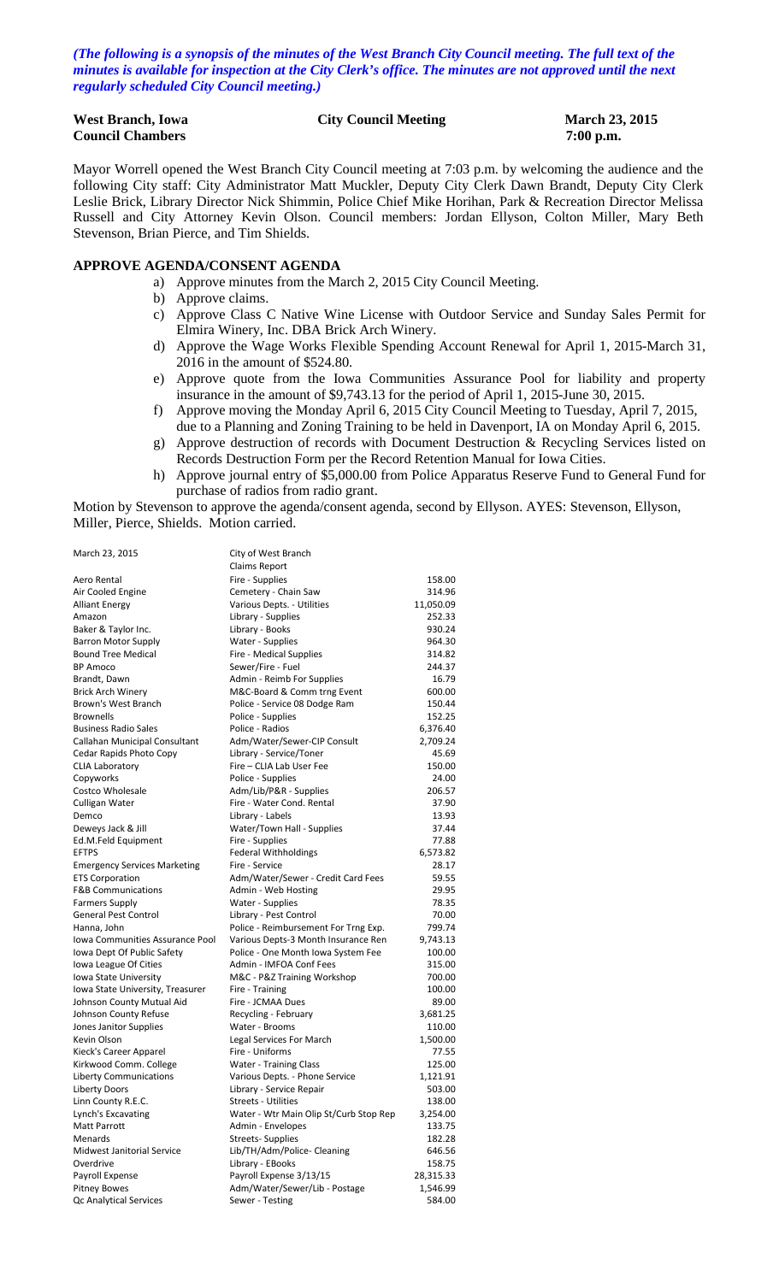*(The following is a synopsis of the minutes of the West Branch City Council meeting. The full text of the minutes is available for inspection at the City Clerk's office. The minutes are not approved until the next regularly scheduled City Council meeting.)*

| <b>West Branch, Iowa</b> | <b>City Council Meeting</b> | <b>March 23</b> |
|--------------------------|-----------------------------|-----------------|
| <b>Council Chambers</b>  |                             | $7:00$ p.m.     |

# **March 23, 2015**

Mayor Worrell opened the West Branch City Council meeting at 7:03 p.m. by welcoming the audience and the following City staff: City Administrator Matt Muckler, Deputy City Clerk Dawn Brandt, Deputy City Clerk Leslie Brick, Library Director Nick Shimmin, Police Chief Mike Horihan, Park & Recreation Director Melissa Russell and City Attorney Kevin Olson. Council members: Jordan Ellyson, Colton Miller, Mary Beth Stevenson, Brian Pierce, and Tim Shields.

#### **APPROVE AGENDA/CONSENT AGENDA**

- a) Approve minutes from the March 2, 2015 City Council Meeting.
- b) Approve claims.
- c) Approve Class C Native Wine License with Outdoor Service and Sunday Sales Permit for Elmira Winery, Inc. DBA Brick Arch Winery.
- d) Approve the Wage Works Flexible Spending Account Renewal for April 1, 2015-March 31, 2016 in the amount of \$524.80.
- e) Approve quote from the Iowa Communities Assurance Pool for liability and property insurance in the amount of \$9,743.13 for the period of April 1, 2015-June 30, 2015.
- f) Approve moving the Monday April 6, 2015 City Council Meeting to Tuesday, April 7, 2015,
- due to a Planning and Zoning Training to be held in Davenport, IA on Monday April 6, 2015. g) Approve destruction of records with Document Destruction & Recycling Services listed on
- Records Destruction Form per the Record Retention Manual for Iowa Cities. h) Approve journal entry of \$5,000.00 from Police Apparatus Reserve Fund to General Fund for purchase of radios from radio grant.

Motion by Stevenson to approve the agenda/consent agenda, second by Ellyson. AYES: Stevenson, Ellyson, Miller, Pierce, Shields. Motion carried.

| March 23, 2015                      | City of West Branch                    |           |
|-------------------------------------|----------------------------------------|-----------|
|                                     | Claims Report                          |           |
| Aero Rental                         | Fire - Supplies                        | 158.00    |
| Air Cooled Engine                   | Cemetery - Chain Saw                   | 314.96    |
| Alliant Energy                      | Various Depts. - Utilities             | 11,050.09 |
| Amazon                              | Library - Supplies                     | 252.33    |
| Baker & Taylor Inc.                 | Library - Books                        | 930.24    |
| <b>Barron Motor Supply</b>          | Water - Supplies                       | 964.30    |
| <b>Bound Tree Medical</b>           | Fire - Medical Supplies                | 314.82    |
| <b>BP Amoco</b>                     | Sewer/Fire - Fuel                      | 244.37    |
| Brandt, Dawn                        | Admin - Reimb For Supplies             | 16.79     |
| <b>Brick Arch Winery</b>            | M&C-Board & Comm trng Event            | 600.00    |
| Brown's West Branch                 | Police - Service 08 Dodge Ram          | 150.44    |
| <b>Brownells</b>                    | Police - Supplies                      | 152.25    |
| <b>Business Radio Sales</b>         | Police - Radios                        | 6,376.40  |
| Callahan Municipal Consultant       | Adm/Water/Sewer-CIP Consult            | 2,709.24  |
| Cedar Rapids Photo Copy             | Library - Service/Toner                | 45.69     |
| <b>CLIA Laboratory</b>              | Fire - CLIA Lab User Fee               | 150.00    |
| Copyworks                           | Police - Supplies                      | 24.00     |
| Costco Wholesale                    | Adm/Lib/P&R - Supplies                 | 206.57    |
| Culligan Water                      | Fire - Water Cond. Rental              | 37.90     |
| Demco                               | Library - Labels                       | 13.93     |
| Deweys Jack & Jill                  | Water/Town Hall - Supplies             | 37.44     |
| Ed.M.Feld Equipment                 | Fire - Supplies                        | 77.88     |
| <b>EFTPS</b>                        | <b>Federal Withholdings</b>            | 6,573.82  |
| <b>Emergency Services Marketing</b> | Fire - Service                         | 28.17     |
| <b>ETS Corporation</b>              | Adm/Water/Sewer - Credit Card Fees     | 59.55     |
| <b>F&amp;B Communications</b>       | Admin - Web Hosting                    | 29.95     |
| <b>Farmers Supply</b>               | Water - Supplies                       | 78.35     |
| <b>General Pest Control</b>         | Library - Pest Control                 | 70.00     |
| Hanna, John                         | Police - Reimbursement For Trng Exp.   | 799.74    |
| Iowa Communities Assurance Pool     | Various Depts-3 Month Insurance Ren    | 9,743.13  |
| Iowa Dept Of Public Safety          | Police - One Month Iowa System Fee     | 100.00    |
| Iowa League Of Cities               | Admin - IMFOA Conf Fees                | 315.00    |
| Iowa State University               | M&C - P&Z Training Workshop            | 700.00    |
| Iowa State University, Treasurer    | Fire - Training                        | 100.00    |
| Johnson County Mutual Aid           | Fire - JCMAA Dues                      | 89.00     |
| Johnson County Refuse               | Recycling - February                   | 3,681.25  |
| Jones Janitor Supplies              | Water - Brooms                         | 110.00    |
| Kevin Olson                         | Legal Services For March               | 1,500.00  |
| Kieck's Career Apparel              | Fire - Uniforms                        | 77.55     |
| Kirkwood Comm. College              | <b>Water - Training Class</b>          | 125.00    |
| <b>Liberty Communications</b>       | Various Depts. - Phone Service         | 1,121.91  |
| <b>Liberty Doors</b>                | Library - Service Repair               | 503.00    |
| Linn County R.E.C.                  | <b>Streets - Utilities</b>             | 138.00    |
| Lynch's Excavating                  | Water - Wtr Main Olip St/Curb Stop Rep | 3,254.00  |
| Matt Parrott                        | Admin - Envelopes                      | 133.75    |
| Menards                             | <b>Streets-Supplies</b>                | 182.28    |
| Midwest Janitorial Service          | Lib/TH/Adm/Police- Cleaning            | 646.56    |
| Overdrive                           | Library - EBooks                       | 158.75    |
| Payroll Expense                     | Payroll Expense 3/13/15                | 28,315.33 |
| <b>Pitney Bowes</b>                 | Adm/Water/Sewer/Lib - Postage          | 1,546.99  |
| Qc Analytical Services              | Sewer - Testing                        | 584.00    |
|                                     |                                        |           |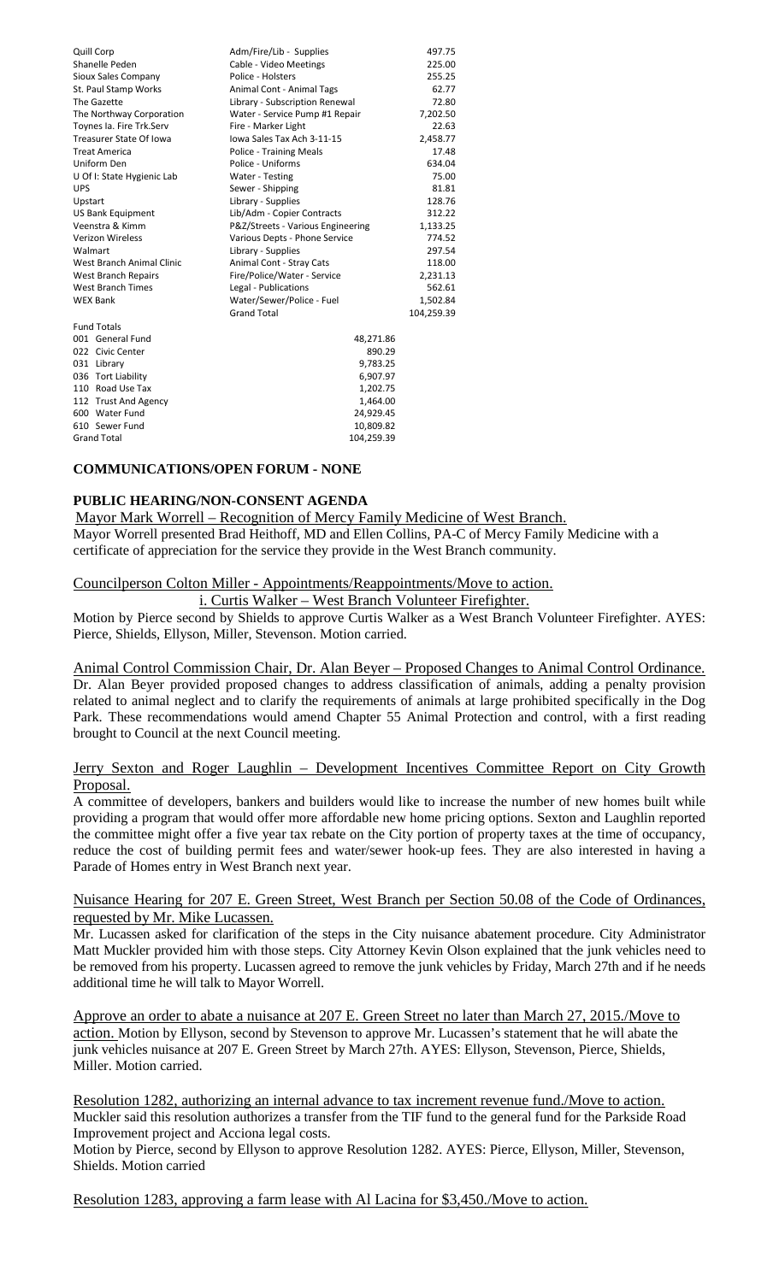| Quill Corp                 | Adm/Fire/Lib - Supplies           | 497.75     |
|----------------------------|-----------------------------------|------------|
| Shanelle Peden             | Cable - Video Meetings            | 225.00     |
| Sioux Sales Company        | Police - Holsters                 | 255.25     |
| St. Paul Stamp Works       | Animal Cont - Animal Tags         | 62.77      |
| The Gazette                | Library - Subscription Renewal    | 72.80      |
| The Northway Corporation   | Water - Service Pump #1 Repair    | 7,202.50   |
| Toynes Ia. Fire Trk.Serv   | Fire - Marker Light               | 22.63      |
| Treasurer State Of Iowa    | Iowa Sales Tax Ach 3-11-15        | 2,458.77   |
| <b>Treat America</b>       | Police - Training Meals           | 17.48      |
| Uniform Den                | Police - Uniforms                 | 634.04     |
| U Of I: State Hygienic Lab | Water - Testing                   | 75.00      |
| <b>UPS</b>                 | Sewer - Shipping                  | 81.81      |
| Upstart                    | Library - Supplies                | 128.76     |
| <b>US Bank Equipment</b>   | Lib/Adm - Copier Contracts        | 312.22     |
| Veenstra & Kimm            | P&Z/Streets - Various Engineering | 1,133.25   |
| <b>Verizon Wireless</b>    | Various Depts - Phone Service     | 774.52     |
| Walmart                    | Library - Supplies                | 297.54     |
| West Branch Animal Clinic  | Animal Cont - Stray Cats          | 118.00     |
| West Branch Repairs        | Fire/Police/Water - Service       | 2,231.13   |
| West Branch Times          | Legal - Publications              | 562.61     |
| <b>WEX Bank</b>            | Water/Sewer/Police - Fuel         | 1,502.84   |
|                            | <b>Grand Total</b>                | 104,259.39 |
| <b>Fund Totals</b>         |                                   |            |
| 001 General Fund           | 48,271.86                         |            |
| 022 Civic Center           | 890.29                            |            |
| 031 Library                | 9,783.25                          |            |
| 036 Tort Liability         | 6,907.97                          |            |
| 110 Road Use Tax           | 1,202.75                          |            |
| 112 Trust And Agency       | 1,464.00                          |            |
| 600 Water Fund             | 24,929.45                         |            |
| 610 Sewer Fund             | 10,809.82                         |            |
| <b>Grand Total</b>         | 104.259.39                        |            |

#### **COMMUNICATIONS/OPEN FORUM - NONE**

#### **PUBLIC HEARING/NON-CONSENT AGENDA**

 Mayor Mark Worrell – Recognition of Mercy Family Medicine of West Branch. Mayor Worrell presented Brad Heithoff, MD and Ellen Collins, PA-C of Mercy Family Medicine with a certificate of appreciation for the service they provide in the West Branch community.

#### Councilperson Colton Miller - Appointments/Reappointments/Move to action.

i. Curtis Walker – West Branch Volunteer Firefighter.

Motion by Pierce second by Shields to approve Curtis Walker as a West Branch Volunteer Firefighter. AYES: Pierce, Shields, Ellyson, Miller, Stevenson. Motion carried.

Animal Control Commission Chair, Dr. Alan Beyer – Proposed Changes to Animal Control Ordinance. Dr. Alan Beyer provided proposed changes to address classification of animals, adding a penalty provision related to animal neglect and to clarify the requirements of animals at large prohibited specifically in the Dog Park. These recommendations would amend Chapter 55 Animal Protection and control, with a first reading brought to Council at the next Council meeting.

### Jerry Sexton and Roger Laughlin - Development Incentives Committee Report on City Growth Proposal.

A committee of developers, bankers and builders would like to increase the number of new homes built while providing a program that would offer more affordable new home pricing options. Sexton and Laughlin reported the committee might offer a five year tax rebate on the City portion of property taxes at the time of occupancy, reduce the cost of building permit fees and water/sewer hook-up fees. They are also interested in having a Parade of Homes entry in West Branch next year.

#### Nuisance Hearing for 207 E. Green Street, West Branch per Section 50.08 of the Code of Ordinances, requested by Mr. Mike Lucassen.

Mr. Lucassen asked for clarification of the steps in the City nuisance abatement procedure. City Administrator Matt Muckler provided him with those steps. City Attorney Kevin Olson explained that the junk vehicles need to be removed from his property. Lucassen agreed to remove the junk vehicles by Friday, March 27th and if he needs additional time he will talk to Mayor Worrell.

Approve an order to abate a nuisance at 207 E. Green Street no later than March 27, 2015./Move to action. Motion by Ellyson, second by Stevenson to approve Mr. Lucassen's statement that he will abate the junk vehicles nuisance at 207 E. Green Street by March 27th. AYES: Ellyson, Stevenson, Pierce, Shields, Miller. Motion carried.

Resolution 1282, authorizing an internal advance to tax increment revenue fund./Move to action. Muckler said this resolution authorizes a transfer from the TIF fund to the general fund for the Parkside Road Improvement project and Acciona legal costs.

Motion by Pierce, second by Ellyson to approve Resolution 1282. AYES: Pierce, Ellyson, Miller, Stevenson, Shields. Motion carried

Resolution 1283, approving a farm lease with Al Lacina for \$3,450./Move to action.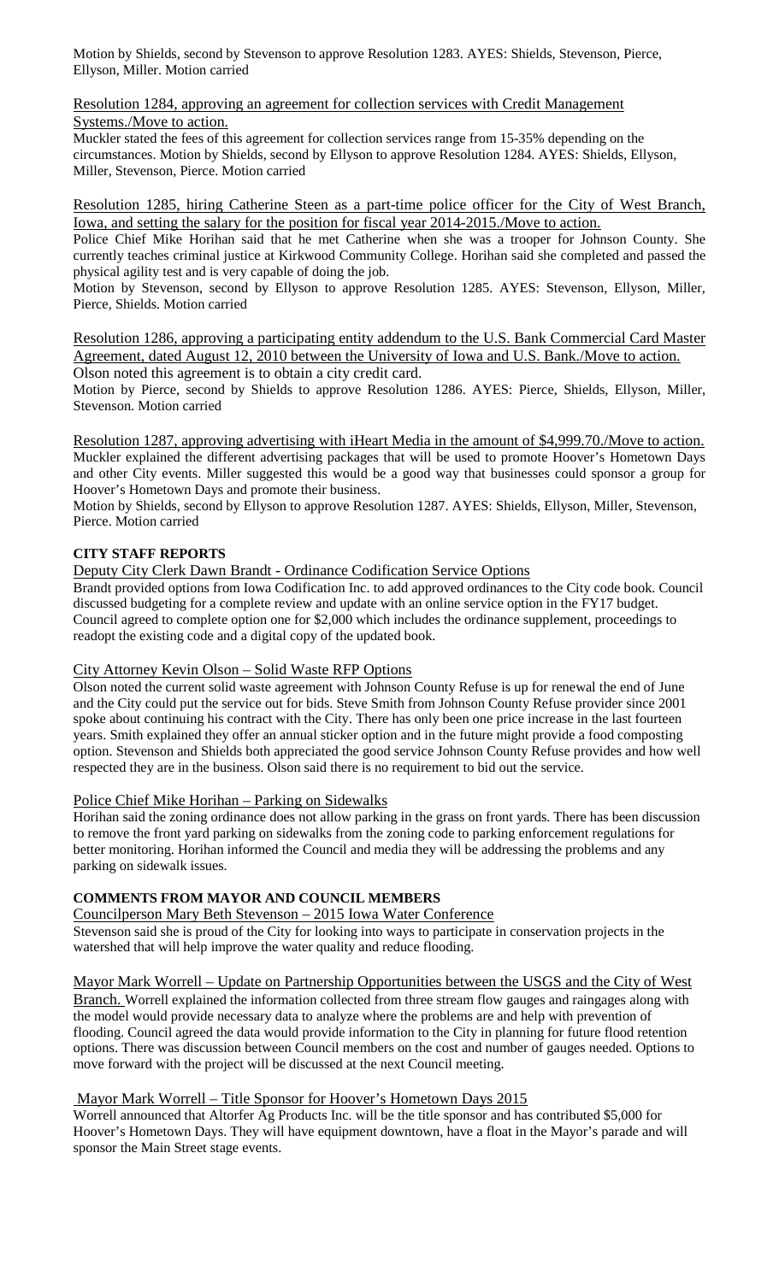Motion by Shields, second by Stevenson to approve Resolution 1283. AYES: Shields, Stevenson, Pierce, Ellyson, Miller. Motion carried

Resolution 1284, approving an agreement for collection services with Credit Management Systems./Move to action.

Muckler stated the fees of this agreement for collection services range from 15-35% depending on the circumstances. Motion by Shields, second by Ellyson to approve Resolution 1284. AYES: Shields, Ellyson, Miller, Stevenson, Pierce. Motion carried

Resolution 1285, hiring Catherine Steen as a part-time police officer for the City of West Branch, Iowa, and setting the salary for the position for fiscal year 2014-2015./Move to action.

Police Chief Mike Horihan said that he met Catherine when she was a trooper for Johnson County. She currently teaches criminal justice at Kirkwood Community College. Horihan said she completed and passed the physical agility test and is very capable of doing the job.

Motion by Stevenson, second by Ellyson to approve Resolution 1285. AYES: Stevenson, Ellyson, Miller, Pierce, Shields. Motion carried

Resolution 1286, approving a participating entity addendum to the U.S. Bank Commercial Card Master Agreement, dated August 12, 2010 between the University of Iowa and U.S. Bank./Move to action.

Olson noted this agreement is to obtain a city credit card.

Motion by Pierce, second by Shields to approve Resolution 1286. AYES: Pierce, Shields, Ellyson, Miller, Stevenson. Motion carried

Resolution 1287, approving advertising with iHeart Media in the amount of \$4,999.70./Move to action. Muckler explained the different advertising packages that will be used to promote Hoover's Hometown Days and other City events. Miller suggested this would be a good way that businesses could sponsor a group for Hoover's Hometown Days and promote their business.

Motion by Shields, second by Ellyson to approve Resolution 1287. AYES: Shields, Ellyson, Miller, Stevenson, Pierce. Motion carried

## **CITY STAFF REPORTS**

Deputy City Clerk Dawn Brandt - Ordinance Codification Service Options

Brandt provided options from Iowa Codification Inc. to add approved ordinances to the City code book. Council discussed budgeting for a complete review and update with an online service option in the FY17 budget. Council agreed to complete option one for \$2,000 which includes the ordinance supplement, proceedings to readopt the existing code and a digital copy of the updated book.

## City Attorney Kevin Olson – Solid Waste RFP Options

Olson noted the current solid waste agreement with Johnson County Refuse is up for renewal the end of June and the City could put the service out for bids. Steve Smith from Johnson County Refuse provider since 2001 spoke about continuing his contract with the City. There has only been one price increase in the last fourteen years. Smith explained they offer an annual sticker option and in the future might provide a food composting option. Stevenson and Shields both appreciated the good service Johnson County Refuse provides and how well respected they are in the business. Olson said there is no requirement to bid out the service.

# Police Chief Mike Horihan – Parking on Sidewalks

Horihan said the zoning ordinance does not allow parking in the grass on front yards. There has been discussion to remove the front yard parking on sidewalks from the zoning code to parking enforcement regulations for better monitoring. Horihan informed the Council and media they will be addressing the problems and any parking on sidewalk issues.

## **COMMENTS FROM MAYOR AND COUNCIL MEMBERS**

Councilperson Mary Beth Stevenson – 2015 Iowa Water Conference

Stevenson said she is proud of the City for looking into ways to participate in conservation projects in the watershed that will help improve the water quality and reduce flooding.

Mayor Mark Worrell – Update on Partnership Opportunities between the USGS and the City of West

Branch. Worrell explained the information collected from three stream flow gauges and raingages along with the model would provide necessary data to analyze where the problems are and help with prevention of flooding. Council agreed the data would provide information to the City in planning for future flood retention options. There was discussion between Council members on the cost and number of gauges needed. Options to move forward with the project will be discussed at the next Council meeting.

## Mayor Mark Worrell – Title Sponsor for Hoover's Hometown Days 2015

Worrell announced that Altorfer Ag Products Inc. will be the title sponsor and has contributed \$5,000 for Hoover's Hometown Days. They will have equipment downtown, have a float in the Mayor's parade and will sponsor the Main Street stage events.